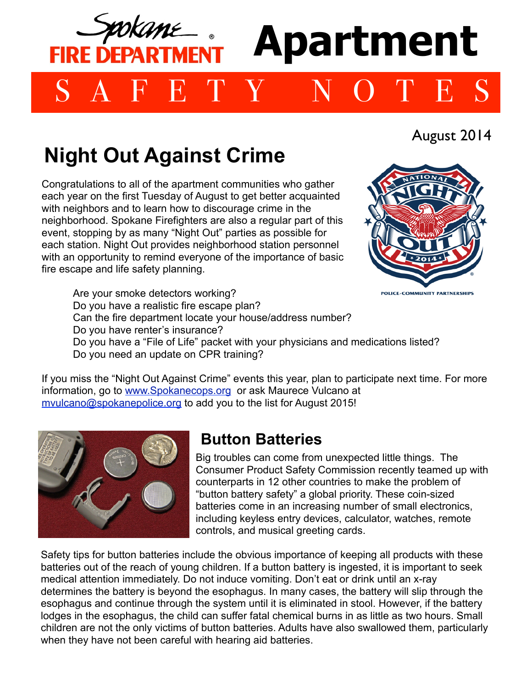

## **Night Out Against Crime**

Congratulations to all of the apartment communities who gather each year on the first Tuesday of August to get better acquainted with neighbors and to learn how to discourage crime in the neighborhood. Spokane Firefighters are also a regular part of this event, stopping by as many "Night Out" parties as possible for each station. Night Out provides neighborhood station personnel with an opportunity to remind everyone of the importance of basic fire escape and life safety planning.

August 2014

Are your smoke detectors working? POLICE-COMMUNITY PARTNERSHII Do you have a realistic fire escape plan? Can the fire department locate your house/address number? Do you have renter's insurance? Do you have a "File of Life" packet with your physicians and medications listed? Do you need an update on CPR training?

If you miss the "Night Out Against Crime" events this year, plan to participate next time. For more information, go to [www.Spokanecops.org](http://www.Spokanecops.org) or ask Maurece Vulcano at [mvulcano@spokanepolice.org](mailto:mvulcano@spokanepolice.org) to add you to the list for August 2015!



## **Button Batteries**

Big troubles can come from unexpected little things. The Consumer Product Safety Commission recently teamed up with counterparts in 12 other countries to make the problem of "button battery safety" a global priority. These coin-sized batteries come in an increasing number of small electronics, including keyless entry devices, calculator, watches, remote controls, and musical greeting cards.

Safety tips for button batteries include the obvious importance of keeping all products with these batteries out of the reach of young children. If a button battery is ingested, it is important to seek medical attention immediately. Do not induce vomiting. Don't eat or drink until an x-ray determines the battery is beyond the esophagus. In many cases, the battery will slip through the esophagus and continue through the system until it is eliminated in stool. However, if the battery lodges in the esophagus, the child can suffer fatal chemical burns in as little as two hours. Small children are not the only victims of button batteries. Adults have also swallowed them, particularly when they have not been careful with hearing aid batteries.